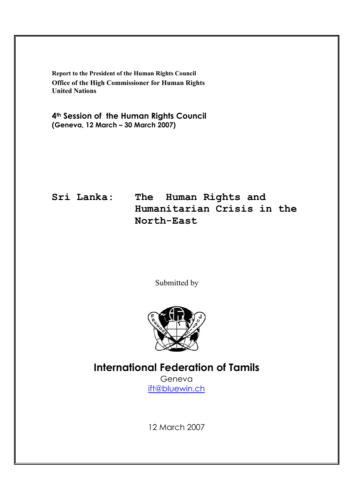**Report to the President of the Human Rights Council Office of the High Commissioner for Human Rights United Nations** 

**4th Session of the Human Rights Council (Geneva, 12 March – 30 March 2007)** 

**Sri Lanka: The Human Rights and Humanitarian Crisis in the North-East**

Submitted by



**International Federation of Tamils** 

Geneva ift@bluewin.ch

12 March 2007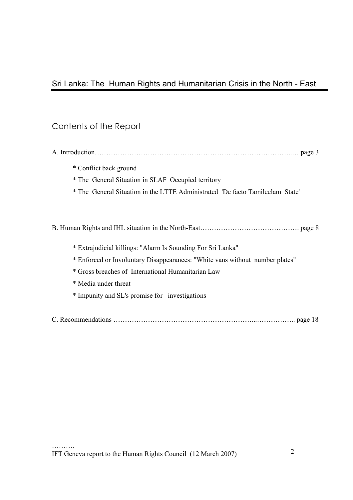# Sri Lanka: The Human Rights and Humanitarian Crisis in the North - East

# Contents of the Report

| * Conflict back ground |  |
|------------------------|--|

- \* The General Situation in SLAF Occupied territory
- \* The General Situation in the LTTE Administrated 'De facto Tamileelam State'

B. Human Rights and IHL situation in the North-East……………………………………. page 8

- \* Extrajudicial killings: "Alarm Is Sounding For Sri Lanka"
- \* Enforced or Involuntary Disappearances: "White vans without number plates"
- \* Gross breaches of International Humanitarian Law
- \* Media under threat
- \* Impunity and SL's promise for investigations
- C. Recommendations ……………………………………………………...…………….. page 18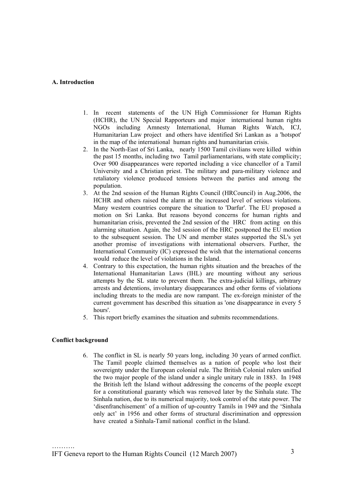### **A. Introduction**

- 1. In recent statements of the UN High Commissioner for Human Rights (HCHR), the UN Special Rapporteurs and major international human rights NGOs including Amnesty International, Human Rights Watch, ICJ, Humanitarian Law project and others have identified Sri Lankan as a 'hotspot' in the map of the international human rights and humanitarian crisis.
- 2. In the North-East of Sri Lanka, nearly 1500 Tamil civilians were killed within the past 15 months, including two Tamil parliamentarians, with state complicity; Over 900 disappearances were reported including a vice chancellor of a Tamil University and a Christian priest. The military and para-military violence and retaliatory violence produced tensions between the parties and among the population.
- 3. At the 2nd session of the Human Rights Council (HRCouncil) in Aug.2006, the HCHR and others raised the alarm at the increased level of serious violations. Many western countries compare the situation to 'Darfur'. The EU proposed a motion on Sri Lanka. But reasons beyond concerns for human rights and humanitarian crisis, prevented the 2nd session of the HRC from acting on this alarming situation. Again, the 3rd session of the HRC postponed the EU motion to the subsequent session. The UN and member states supported the SL's yet another promise of investigations with international observers. Further, the International Community (IC) expressed the wish that the international concerns would reduce the level of violations in the Island.
- 4. Contrary to this expectation, the human rights situation and the breaches of the International Humanitarian Laws (IHL) are mounting without any serious attempts by the SL state to prevent them. The extra-judicial killings, arbitrary arrests and detentions, involuntary disappearances and other forms of violations including threats to the media are now rampant. The ex-foreign minister of the current government has described this situation as 'one disappearance in every 5 hours'.
- 5. This report briefly examines the situation and submits recommendations.

#### **Conflict background**

6. The conflict in SL is nearly 50 years long, including 30 years of armed conflict. The Tamil people claimed themselves as a nation of people who lost their sovereignty under the European colonial rule. The British Colonial rulers unified the two major people of the island under a single unitary rule in 1883. In 1948 the British left the Island without addressing the concerns of the people except for a constitutional guaranty which was removed later by the Sinhala state. The Sinhala nation, due to its numerical majority, took control of the state power. The 'disenfranchisement' of a million of up-country Tamils in 1949 and the 'Sinhala only act' in 1956 and other forms of structural discrimination and oppression have created a Sinhala-Tamil national conflict in the Island.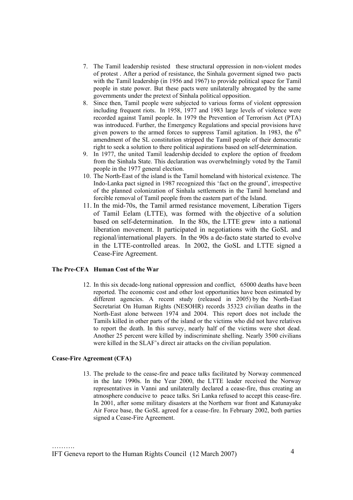- 7. The Tamil leadership resisted these structural oppression in non-violent modes of protest . After a period of resistance, the Sinhala goverment signed two pacts with the Tamil leadership (in 1956 and 1967) to provide political space for Tamil people in state power. But these pacts were unilaterally abrogated by the same governments under the pretext of Sinhala political opposition.
- 8. Since then, Tamil people were subjected to various forms of violent oppression including frequent riots. In 1958, 1977 and 1983 large levels of violence were recorded against Tamil people. In 1979 the Prevention of Terrorism Act (PTA) was introduced. Further, the Emergency Regulations and special provisions have given powers to the armed forces to suppress Tamil agitation. In 1983, the  $6<sup>th</sup>$ amendment of the SL constitution stripped the Tamil people of their democratic right to seek a solution to there political aspirations based on self-determination.
- 9. In 1977, the united Tamil leadership decided to explore the option of freedom from the Sinhala State. This declaration was overwhelmingly voted by the Tamil people in the 1977 general election.
- 10. The North-East of the island is the Tamil homeland with historical existence. The Indo-Lanka pact signed in 1987 recognized this 'fact on the ground', irrespective of the planned colonization of Sinhala settlements in the Tamil homeland and forcible removal of Tamil people from the eastern part of the Island.
- 11. In the mid-70s, the Tamil armed resistance movement, Liberation Tigers of Tamil Eelam (LTTE), was formed with the objective of a solution based on self-determination. In the 80s, the LTTE grew into a national liberation movement. It participated in negotiations with the GoSL and regional/international players. In the 90s a de-facto state started to evolve in the LTTE-controlled areas. In 2002, the GoSL and LTTE signed a Cease-Fire Agreement.

## **The Pre-CFA Human Cost of the War**

12. In this six decade-long national oppression and conflict, 65000 deaths have been reported. The economic cost and other lost opportunities have been estimated by different agencies. A recent study (released in 2005) by the North-East Secretariat On Human Rights (NESOHR) records 35323 civilian deaths in the North-East alone between 1974 and 2004. This report does not include the Tamils killed in other parts of the island or the victims who did not have relatives to report the death. In this survey, nearly half of the victims were shot dead. Another 25 percent were killed by indiscriminate shelling. Nearly 3500 civilians were killed in the SLAF's direct air attacks on the civilian population.

#### **Cease-Fire Agreement (CFA)**

13. The prelude to the cease-fire and peace talks facilitated by Norway commenced in the late 1990s. In the Year 2000, the LTTE leader received the Norway representatives in Vanni and unilaterally declared a cease-fire, thus creating an atmosphere conducive to peace talks. Sri Lanka refused to accept this cease-fire. In 2001, after some military disasters at the Northern war front and Katunayake Air Force base, the GoSL agreed for a cease-fire. In February 2002, both parties signed a Cease-Fire Agreement.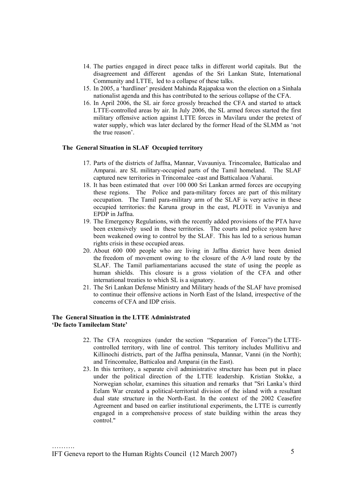- 14. The parties engaged in direct peace talks in different world capitals. But the disagreement and different agendas of the Sri Lankan State, International Community and LTTE, led to a collapse of these talks.
- 15. In 2005, a 'hardliner' president Mahinda Rajapaksa won the election on a Sinhala nationalist agenda and this has contributed to the serious collapse of the CFA.
- 16. In April 2006, the SL air force grossly breached the CFA and started to attack LTTE-controlled areas by air. In July 2006, the SL armed forces started the first military offensive action against LTTE forces in Mavilaru under the pretext of water supply, which was later declared by the former Head of the SLMM as 'not the true reason'.

## **The General Situation in SLAF Occupied territory**

- 17. Parts of the districts of Jaffna, Mannar, Vavauniya. Trincomalee, Batticalao and Amparai. are SL military-occupied parts of the Tamil homeland. The SLAF captured new territories in Trincomalee -east and Batticalaoa /Vaharai.
- 18. It has been estimated that over 100 000 Sri Lankan armed forces are occupying these regions. The Police and para-military forces are part of this military occupation. The Tamil para-military arm of the SLAF is very active in these occupied territories: the Karuna group in the east, PLOTE in Vavuniya and EPDP in Jaffna.
- 19. The Emergency Regulations, with the recently added provisions of the PTA have been extensively used in these territories. The courts and police system have been weakened owing to control by the SLAF. This has led to a serious human rights crisis in these occupied areas.
- 20. About 600 000 people who are living in Jaffna district have been denied the freedom of movement owing to the closure of the A-9 land route by the SLAF. The Tamil parliamentarians accused the state of using the people as human shields. This closure is a gross violation of the CFA and other international treaties to which SL is a signatory.
- 21. The Sri Lankan Defense Ministry and Military heads of the SLAF have promised to continue their offensive actions in North East of the Island, irrespective of the concerns of CFA and IDP crisis.

## **The General Situation in the LTTE Administrated 'De facto Tamileelam State'**

- 22. The CFA recognizes (under the section "Separation of Forces") the LTTEcontrolled territory, with line of control. This territory includes Mullitivu and Killinochi districts, part of the Jaffna peninsula, Mannar, Vanni (in the North); and Trincomalee, Batticaloa and Amparai (in the East).
- 23. In this territory, a separate civil administrative structure has been put in place under the political direction of the LTTE leadership. Kristian Stokke, a Norwegian scholar, examines this situation and remarks that "Sri Lanka's third Eelam War created a political-territorial division of the island with a resultant dual state structure in the North-East. In the context of the 2002 Ceasefire Agreement and based on earlier institutional experiments, the LTTE is currently engaged in a comprehensive process of state building within the areas they control."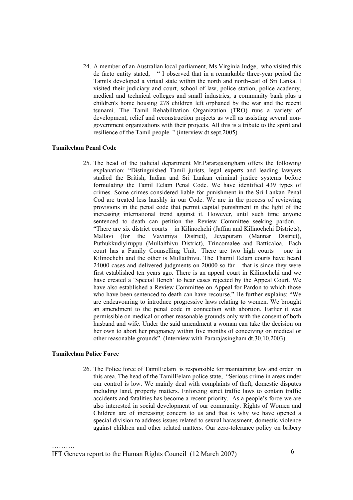24. A member of an Australian local parliament, Ms Virginia Judge, who visited this de facto entity stated, " I observed that in a remarkable three-year period the Tamils developed a virtual state within the north and north-east of Sri Lanka. I visited their judiciary and court, school of law, police station, police academy, medical and technical colleges and small industries, a community bank plus a children's home housing 278 children left orphaned by the war and the recent tsunami. The Tamil Rehabilitation Organization (TRO) runs a variety of development, relief and reconstruction projects as well as assisting several nongovernment organizations with their projects. All this is a tribute to the spirit and resilience of the Tamil people. " (interview dt.sept.2005)

### **Tamileelam Penal Code**

25. The head of the judicial department Mr.Pararajasingham offers the following explanation: "Distinguished Tamil jurists, legal experts and leading lawyers studied the British, Indian and Sri Lankan criminal justice systems before formulating the Tamil Eelam Penal Code. We have identified 439 types of crimes. Some crimes considered liable for punishment in the Sri Lankan Penal Cod are treated less harshly in our Code. We are in the process of reviewing provisions in the penal code that permit capital punishment in the light of the increasing international trend against it. However, until such time anyone sentenced to death can petition the Review Committee seeking pardon. "There are six district courts – in Kilinochchi (Jaffna and Kilinochchi Districts), Mallavi (for the Vavuniya District), Jeyapuram (Mannar District), Puthukkudiyiruppu (Mullaithivu District), Trincomalee and Batticaloa. Each court has a Family Counselling Unit. There are two high courts – one in Kilinochchi and the other is Mullaithivu. The Thamil Eelam courts have heard 24000 cases and delivered judgments on 20000 so far – that is since they were first established ten years ago. There is an appeal court in Kilinochchi and we have created a 'Special Bench' to hear cases rejected by the Appeal Court. We have also established a Review Committee on Appeal for Pardon to which those who have been sentenced to death can have recourse." He further explains: "We are endeavouring to introduce progressive laws relating to women. We brought an amendment to the penal code in connection with abortion. Earlier it was permissible on medical or other reasonable grounds only with the consent of both husband and wife. Under the said amendment a woman can take the decision on her own to abort her pregnancy within five months of conceiving on medical or other reasonable grounds". (Interview with Pararajasingham dt.30.10.2003).

### **Tamileelam Police Force**

……….

26. The Police force of TamilEelam is responsible for maintaining law and order in this area. The head of the TamilEelam police state, "Serious crime in areas under our control is low. We mainly deal with complaints of theft, domestic disputes including land, property matters. Enforcing strict traffic laws to contain traffic accidents and fatalities has become a recent priority. As a people's force we are also interested in social development of our community. Rights of Women and Children are of increasing concern to us and that is why we have opened a special division to address issues related to sexual harassment, domestic violence against children and other related matters. Our zero-tolerance policy on bribery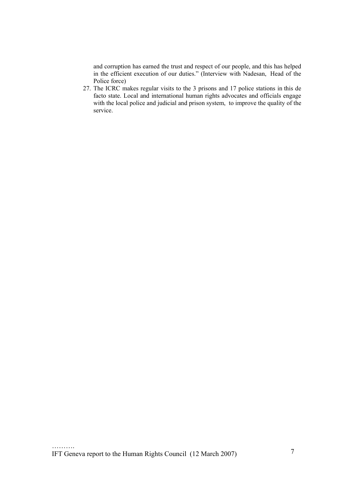and corruption has earned the trust and respect of our people, and this has helped in the efficient execution of our duties." (Interview with Nadesan, Head of the Police force)

27. The ICRC makes regular visits to the 3 prisons and 17 police stations in this de facto state. Local and international human rights advocates and officials engage with the local police and judicial and prison system, to improve the quality of the service.

…………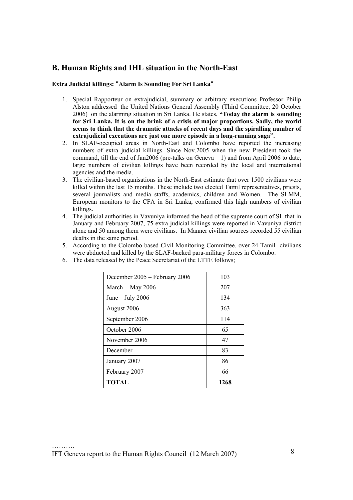# **B. Human Rights and IHL situation in the North-East**

## **Extra Judicial killings: "Alarm Is Sounding For Sri Lanka"**

- 1. Special Rapporteur on extrajudicial, summary or arbitrary executions Professor Philip Alston addressed the United Nations General Assembly (Third Committee, 20 October 2006) on the alarming situation in Sri Lanka. He states, **"Today the alarm is sounding for Sri Lanka. It is on the brink of a crisis of major proportions. Sadly, the world seems to think that the dramatic attacks of recent days and the spiralling number of extrajudicial executions are just one more episode in a long-running saga".**
- 2. In SLAF-occupied areas in North-East and Colombo have reported the increasing numbers of extra judicial killings. Since Nov.2005 when the new President took the command, till the end of Jan2006 (pre-talks on Geneva  $-1$ ) and from April 2006 to date, large numbers of civilian killings have been recorded by the local and international agencies and the media.
- 3. The civilian-based organisations in the North-East estimate that over 1500 civilians were killed within the last 15 months. These include two elected Tamil representatives, priests, several journalists and media staffs, academics, children and Women. The SLMM, European monitors to the CFA in Sri Lanka, confirmed this high numbers of civilian killings.
- 4. The judicial authorities in Vavuniya informed the head of the supreme court of SL that in January and February 2007, 75 extra-judicial killings were reported in Vavuniya district alone and 50 among them were civilians. In Manner civilian sources recorded 55 civilian deaths in the same period.
- 5. According to the Colombo-based Civil Monitoring Committee, over 24 Tamil civilians were abducted and killed by the SLAF-backed para-military forces in Colombo.
	- December  $2005$  February  $2006$  103 March - May 2006 207 June – July 2006  $134$ August 2006 363 September 2006 114 October 2006  $\vert$  65 November 2006 1 47 December 83 January 2007 86 February 2007 66 **TOTAL 1268**
- 6. The data released by the Peace Secretariat of the LTTE follows;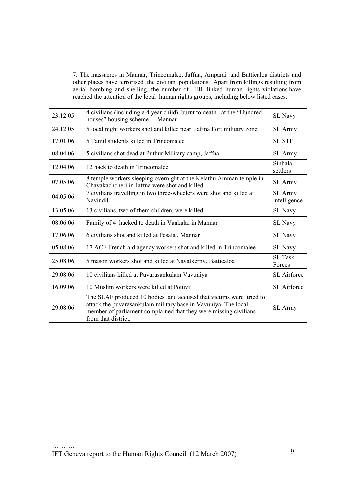7. The massacres in Mannar, Trincomalee, Jaffna, Amparai and Batticaloa districts and other places have terrorised the civilian populations. Apart from killings resulting from aerial bombing and shelling, the number of IHL-linked human rights violations have reached the attention of the local human rights groups, including below listed cases.

| 23.12.05 | 4 civilians (including a 4 year child) burnt to death, at the "Hundred<br>houses" housing scheme - Mannar                                                                                                                       | SL Navy                  |
|----------|---------------------------------------------------------------------------------------------------------------------------------------------------------------------------------------------------------------------------------|--------------------------|
| 24.12.05 | 5 local night workers shot and killed near Jaffna Fort military zone                                                                                                                                                            | <b>SL</b> Army           |
| 17.01.06 | 5 Tamil students killed in Trincomalee                                                                                                                                                                                          | <b>SL STF</b>            |
| 08.04.06 | 5 civilians shot dead at Puthur Military camp, Jaffna                                                                                                                                                                           | SL Army                  |
| 12.04.06 | 12 hack to death in Trincomalee                                                                                                                                                                                                 | Sinhala<br>settlers      |
| 07.05.06 | 8 temple workers sleeping overnight at the Kelathu Amman temple in<br>Chavakachcheri in Jaffna were shot and killed                                                                                                             | <b>SL</b> Army           |
| 04.05.06 | 7 civilians travelling in two three-wheelers were shot and killed at<br>Navindil                                                                                                                                                | SL Army<br>intelligence  |
| 13.05.06 | 13 civilians, two of them children, were killed                                                                                                                                                                                 | <b>SL Navy</b>           |
| 08.06.06 | Family of 4 hacked to death in Vankalai in Mannar                                                                                                                                                                               | SL Navy                  |
| 17.06.06 | 6 civilians shot and killed at Pesalai, Mannar                                                                                                                                                                                  | <b>SL Navy</b>           |
| 05.08.06 | 17 ACF French aid agency workers shot and killed in Trincomalee                                                                                                                                                                 | SL Navy                  |
| 25.08.06 | 5 mason workers shot and killed at Navatkerny, Batticaloa                                                                                                                                                                       | <b>SL</b> Task<br>Forces |
| 29.08.06 | 10 civilians killed at Puvarasankulam Vavuniya                                                                                                                                                                                  | SL Airforce              |
| 16.09.06 | 10 Muslim workers were killed at Potuvil                                                                                                                                                                                        | SL Airforce              |
| 29.08.06 | The SLAF produced 10 bodies and accused that victims were tried to<br>attack the puvarasankulam military base in Vavuniya. The local<br>member of parliament complained that they were missing civilians<br>from that district. | <b>SL</b> Army           |

…………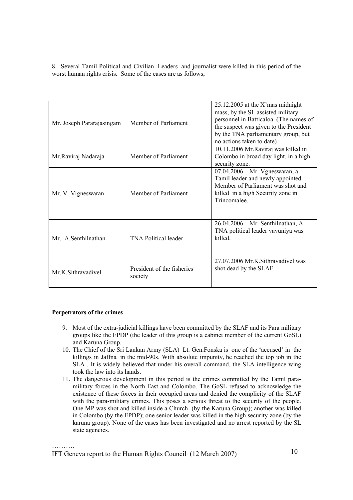8. Several Tamil Political and Civilian Leaders and journalist were killed in this period of the worst human rights crisis. Some of the cases are as follows;

| Mr. Joseph Pararajasingam | Member of Parliament                  | $25.12.2005$ at the X'mas midnight<br>mass, by the SL assisted military<br>personnel in Batticaloa. (The names of<br>the suspect was given to the President<br>by the TNA parliamentary group, but<br>no actions taken to date) |
|---------------------------|---------------------------------------|---------------------------------------------------------------------------------------------------------------------------------------------------------------------------------------------------------------------------------|
| Mr.Raviraj Nadaraja       | Member of Parliament                  | 10.11.2006 Mr. Raviraj was killed in<br>Colombo in broad day light, in a high<br>security zone.                                                                                                                                 |
| Mr. V. Vigneswaran        | Member of Parliament                  | $07.04.2006 - Mr. Vgneswaran, a$<br>Tamil leader and newly appointed<br>Member of Parliament was shot and<br>killed in a high Security zone in<br>Trincomalee.                                                                  |
| Mr. A Senthilnathan       | <b>TNA Political leader</b>           | 26.04.2006 - Mr. Senthilnathan, A<br>TNA political leader vavuniya was<br>killed.                                                                                                                                               |
| Mr.K. Sithravadivel       | President of the fisheries<br>society | 27.07.2006 Mr.K.Sithravadivel was<br>shot dead by the SLAF                                                                                                                                                                      |

## **Perpetrators of the crimes**

- 9. Most of the extra-judicial killings have been committed by the SLAF and its Para military groups like the EPDP (the leader of this group is a cabinet member of the current GoSL) and Karuna Group.
- 10. The Chief of the Sri Lankan Army (SLA) Lt. Gen.Fonska is one of the 'accused' in the killings in Jaffna in the mid-90s. With absolute impunity, he reached the top job in the SLA . It is widely believed that under his overall command, the SLA intelligence wing took the law into its hands.
- 11. The dangerous development in this period is the crimes committed by the Tamil paramilitary forces in the North-East and Colombo. The GoSL refused to acknowledge the existence of these forces in their occupied areas and denied the complicity of the SLAF with the para-military crimes. This poses a serious threat to the security of the people. One MP was shot and killed inside a Church (by the Karuna Group); another was killed in Colombo (by the EPDP); one senior leader was killed in the high security zone (by the karuna group). None of the cases has been investigated and no arrest reported by the SL state agencies.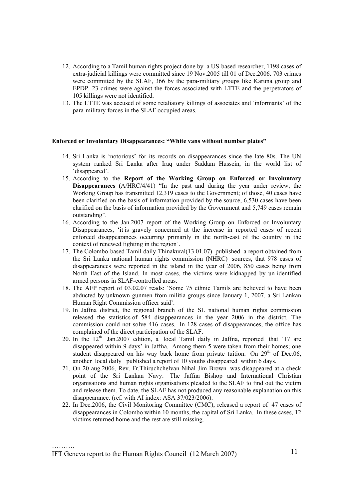- 12. According to a Tamil human rights project done by a US-based researcher, 1198 cases of extra-judicial killings were committed since 19 Nov.2005 till 01 of Dec.2006. 703 crimes were committed by the SLAF, 366 by the para-military groups like Karuna group and EPDP. 23 crimes were against the forces associated with LTTE and the perpetrators of 105 killings were not identified.
- 13. The LTTE was accused of some retaliatory killings of associates and 'informants' of the para-military forces in the SLAF occupied areas.

#### **Enforced or Involuntary Disappearances: "White vans without number plates"**

- 14. Sri Lanka is 'notorious' for its records on disappearances since the late 80s. The UN system ranked Sri Lanka after Iraq under Saddam Hussein, in the world list of 'disappeared'.
- 15. According to the **Report of the Working Group on Enforced or Involuntary Disappearances (**A/HRC/4/41) "In the past and during the year under review, the Working Group has transmitted 12,319 cases to the Government; of those, 40 cases have been clarified on the basis of information provided by the source, 6,530 cases have been clarified on the basis of information provided by the Government and 5,749 cases remain outstanding".
- 16. According to the Jan.2007 report of the Working Group on Enforced or Involuntary Disappearances, 'it is gravely concerned at the increase in reported cases of recent enforced disappearances occurring primarily in the north-east of the country in the context of renewed fighting in the region'.
- 17. The Colombo-based Tamil daily Thinakural(13.01.07) published a report obtained from the Sri Lanka national human rights commission (NHRC) sources, that 978 cases of disappearances were reported in the island in the year of 2006, 850 cases being from North East of the Island. In most cases, the victims were kidnapped by un-identified armed persons in SLAF-controlled areas.
- 18. The AFP report of 03.02.07 reads: 'Some 75 ethnic Tamils are believed to have been abducted by unknown gunmen from militia groups since January 1, 2007, a Sri Lankan Human Right Commission officer said'.
- 19. In Jaffna district, the regional branch of the SL national human rights commission released the statistics of 584 disappearances in the year 2006 in the district. The commission could not solve 416 cases. In 128 cases of disappearances, the office has complained of the direct participation of the SLAF.
- 20. In the  $12<sup>th</sup>$  Jan.2007 edition, a local Tamil daily in Jaffna, reported that '17 are disappeared within 9 days' in Jaffna. Among them 5 were taken from their homes; one student disappeared on his way back home from private tuition. On  $29<sup>th</sup>$  of Dec.06, another local daily published a report of 10 youths disappeared within 6 days.
- 21. On 20 aug.2006, Rev. Fr.Thiruchchelvan Nihal Jim Brown was disappeared at a check point of the Sri Lankan Navy. The Jaffna Bishop and International Christian organisations and human rights organisations pleaded to the SLAF to find out the victim and release them. To date, the SLAF has not produced any reasonable explanation on this disappearance. (ref. with AI index: ASA 37/023/2006).
- 22. In Dec.2006, the Civil Monitoring Committee (CMC), released a report of 47 cases of disappearances in Colombo within 10 months, the capital of Sri Lanka. In these cases, 12 victims returned home and the rest are still missing.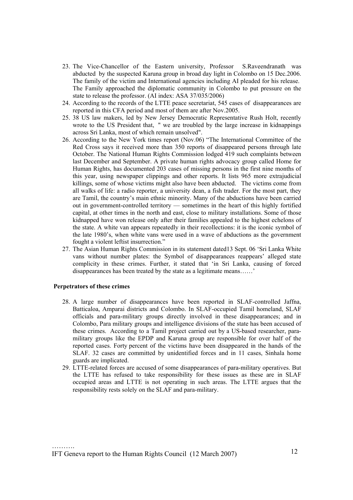- 23. The Vice-Chancellor of the Eastern university, Professor S.Raveendranath was abducted by the suspected Karuna group in broad day light in Colombo on 15 Dec.2006. The family of the victim and International agencies including AI pleaded for his release. The Family approached the diplomatic community in Colombo to put pressure on the state to release the professor. (AI index: ASA 37/035/2006)
- 24. According to the records of the LTTE peace secretariat, 545 cases of disappearances are reported in this CFA period and most of them are after Nov.2005.
- 25. 38 US law makers, led by New Jersey Democratic Representative Rush Holt, recently wrote to the US President that, " we are troubled by the large increase in kidnappings across Sri Lanka, most of which remain unsolved".
- 26. According to the New York times report (Nov.06) "The International Committee of the Red Cross says it received more than 350 reports of disappeared persons through late October. The National Human Rights Commission lodged 419 such complaints between last December and September. A private human rights advocacy group called Home for Human Rights, has documented 203 cases of missing persons in the first nine months of this year, using newspaper clippings and other reports. It lists 965 more extrajudicial killings, some of whose victims might also have been abducted. The victims come from all walks of life: a radio reporter, a university dean, a fish trader. For the most part, they are Tamil, the country's main ethnic minority. Many of the abductions have been carried out in government-controlled territory — sometimes in the heart of this highly fortified capital, at other times in the north and east, close to military installations. Some of those kidnapped have won release only after their families appealed to the highest echelons of the state. A white van appears repeatedly in their recollections: it is the iconic symbol of the late 1980's, when white vans were used in a wave of abductions as the government fought a violent leftist insurrection."
- 27. The Asian Human Rights Commission in its statement dated13 Sept. 06 'Sri Lanka White vans without number plates: the Symbol of disappearances reappears' alleged state complicity in these crimes. Further, it stated that 'in Sri Lanka, causing of forced disappearances has been treated by the state as a legitimate means……'

#### **Perpetrators of these crimes**

- 28. A large number of disappearances have been reported in SLAF-controlled Jaffna, Batticaloa, Amparai districts and Colombo. In SLAF-occupied Tamil homeland, SLAF officials and para-military groups directly involved in these disappearances; and in Colombo, Para military groups and intelligence divisions of the state has been accused of these crimes. According to a Tamil project carried out by a US-based researcher, paramilitary groups like the EPDP and Karuna group are responsible for over half of the reported cases. Forty percent of the victims have been disappeared in the hands of the SLAF. 32 cases are committed by unidentified forces and in 11 cases, Sinhala home guards are implicated.
- 29. LTTE-related forces are accused of some disappearances of para-military operatives. But the LTTE has refused to take responsibility for these issues as these are in SLAF occupied areas and LTTE is not operating in such areas. The LTTE argues that the responsibility rests solely on the SLAF and para-military.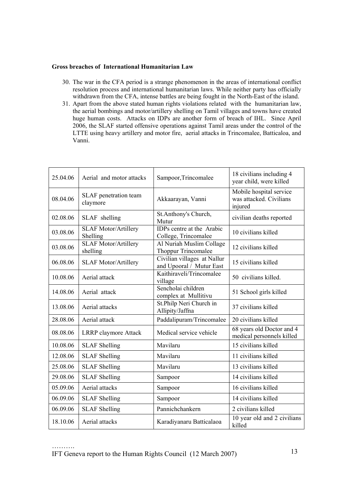## **Gross breaches of International Humanitarian Law**

- 30. The war in the CFA period is a strange phenomenon in the areas of international conflict resolution process and international humanitarian laws. While neither party has officially withdrawn from the CFA, intense battles are being fought in the North-East of the island.
- 31. Apart from the above stated human rights violations related with the humanitarian law, the aerial bombings and motor/artillery shelling on Tamil villages and towns have created huge human costs. Attacks on IDPs are another form of breach of IHL. Since April 2006, the SLAF started offensive operations against Tamil areas under the control of the LTTE using heavy artillery and motor fire, aerial attacks in Trincomalee, Batticaloa, and Vanni.

| 25.04.06 | Aerial and motor attacks                | Sampoor, Trincomalee                                    | 18 civilians including 4<br>year child, were killed           |
|----------|-----------------------------------------|---------------------------------------------------------|---------------------------------------------------------------|
| 08.04.06 | SLAF penetration team<br>claymore       | Akkaarayan, Vanni                                       | Mobile hospital service<br>was attacked. Civilians<br>injured |
| 02.08.06 | SLAF shelling                           | St. Anthony's Church,<br>Mutur                          | civilian deaths reported                                      |
| 03.08.06 | <b>SLAF Motor/Artillery</b><br>Shelling | IDPs centre at the Arabic<br>College, Trincomalee       | 10 civilians killed                                           |
| 03.08.06 | <b>SLAF Motor/Artillery</b><br>shelling | Al Nuriah Muslim Collage<br>Thoppur Trincomalee         | 12 civilians killed                                           |
| 06.08.06 | <b>SLAF Motor/Artillery</b>             | Civilian villages at Nallur<br>and Upooral / Mutur East | 15 civilians killed                                           |
| 10.08.06 | Aerial attack                           | Kaithiraveli/Trincomalee<br>village                     | 50 civilians killed.                                          |
| 14.08.06 | Aerial attack                           | Sencholai children<br>complex at Mullitivu              | 51 School girls killed                                        |
| 13.08.06 | Aerial attacks                          | St.Philp Neri Church in<br>Allipity/Jaffna              | 37 civilians killed                                           |
| 28.08.06 | Aerial attack                           | Paddalipuram/Trincomalee                                | 20 civilians killed                                           |
| 08.08.06 | <b>LRRP</b> claymore Attack             | Medical service vehicle                                 | 68 years old Doctor and 4<br>medical personnels killed        |
| 10.08.06 | <b>SLAF</b> Shelling                    | Mavilaru                                                | 15 civilians killed                                           |
| 12.08.06 | <b>SLAF</b> Shelling                    | Mavilaru                                                | 11 civilians killed                                           |
| 25.08.06 | <b>SLAF</b> Shelling                    | Mavilaru                                                | 13 civilians killed                                           |
| 29.08.06 | <b>SLAF</b> Shelling                    | Sampoor                                                 | 14 civilians killed                                           |
| 05.09.06 | Aerial attacks                          | Sampoor                                                 | 16 civilians killed                                           |
| 06.09.06 | <b>SLAF</b> Shelling                    | Sampoor                                                 | 14 civilians killed                                           |
| 06.09.06 | <b>SLAF Shelling</b>                    | Pannichchankern                                         | 2 civilians killed                                            |
| 18.10.06 | Aerial attacks                          | Karadiyanaru Batticalaoa                                | 10 year old and 2 civilians<br>killed                         |

…………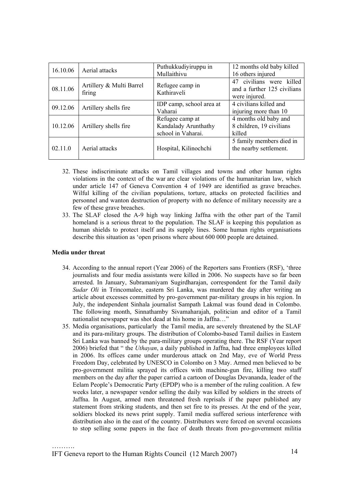| 16.10.06 | Aerial attacks                     | Puthukkudiyiruppu in<br>Mullaithivu                           | 12 months old baby killed<br>16 others injured                              |
|----------|------------------------------------|---------------------------------------------------------------|-----------------------------------------------------------------------------|
| 08.11.06 | Artillery & Multi Barrel<br>firing | Refugee camp in<br>Kathiraveli                                | civilians were killed<br>47<br>and a further 125 civilians<br>were injured. |
| 09.12.06 | Artillery shells fire              | IDP camp, school area at<br>Vaharai                           | 4 civilians killed and<br>injuring more than 10                             |
| 10.12.06 | Artillery shells fire              | Refugee camp at<br>Kandalady Arunthathy<br>school in Vaharai. | 4 months old baby and<br>8 children, 19 civilians<br>killed                 |
| 02.11.0  | Aerial attacks                     | Hospital, Kilinochchi                                         | 5 family members died in<br>the nearby settlement.                          |

- 32. These indiscriminate attacks on Tamil villages and towns and other human rights violations in the context of the war are clear violations of the humanitarian law, which under article 147 of Geneva Convention 4 of 1949 are identified as grave breaches. Wilful killing of the civilian populations, torture, attacks on protected facilities and personnel and wanton destruction of property with no defence of military necessity are a few of these grave breaches.
- 33. The SLAF closed the A-9 high way linking Jaffna with the other part of the Tamil homeland is a serious threat to the population. The SLAF is keeping this population as human shields to protect itself and its supply lines. Some human rights organisations describe this situation as 'open prisons where about 600 000 people are detained.

## **Media under threat**

- 34. According to the annual report (Year 2006) of the Reporters sans Frontiers (RSF), 'three journalists and four media assistants were killed in 2006. No suspects have so far been arrested. In January, Subramaniyam Sugirdharajan, correspondent for the Tamil daily *Sudar Oli* in Trincomalee, eastern Sri Lanka, was murdered the day after writing an article about excesses committed by pro-government par-military groups in his region. In July, the independent Sinhala journalist Sampath Lakmal was found dead in Colombo. The following month, Sinnathamby Sivamaharajah, politician and editor of a Tamil nationalist newspaper was shot dead at his home in Jaffna…"
- 35. Media organisations, particularly the Tamil media, are severely threatened by the SLAF and its para-military groups. The distribution of Colombo-based Tamil dailies in Eastern Sri Lanka was banned by the para-military groups operating there. The RSF (Year report 2006) briefed that " the *Uthayan*, a daily published in Jaffna, had three employees killed in 2006. Its offices came under murderous attack on 2nd May, eve of World Press Freedom Day, celebrated by UNESCO in Colombo on 3 May. Armed men believed to be pro-government militia sprayed its offices with machine-gun fire, killing two staff members on the day after the paper carried a cartoon of Douglas Devananda, leader of the Eelam People's Democratic Party (EPDP) who is a member of the ruling coalition. A few weeks later, a newspaper vendor selling the daily was killed by soldiers in the streets of Jaffna. In August, armed men threatened fresh reprisals if the paper published any statement from striking students, and then set fire to its presses. At the end of the year, soldiers blocked its news print supply. Tamil media suffered serious interference with distribution also in the east of the country. Distributors were forced on several occasions to stop selling some papers in the face of death threats from pro-government militia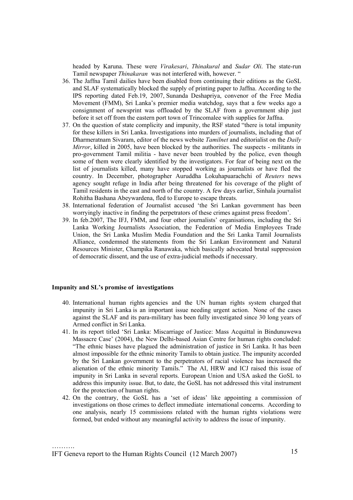headed by Karuna. These were *Virakesari*, *Thinakural* and *Sudar Oli*. The state-run Tamil newspaper *Thinakaran* was not interfered with, however. "

- 36. The Jaffna Tamil dailies have been disabled from continuing their editions as the GoSL and SLAF systematically blocked the supply of printing paper to Jaffna. According to the IPS reporting dated Feb.19, 2007, Sunanda Deshapriya, convenor of the Free Media Movement (FMM), Sri Lanka's premier media watchdog, says that a few weeks ago a consignment of newsprint was offloaded by the SLAF from a government ship just before it set off from the eastern port town of Trincomalee with supplies for Jaffna.
- 37. On the question of state complicity and impunity, the RSF stated "there is total impunity for these killers in Sri Lanka. Investigations into murders of journalists, including that of Dharmeratnam Sivaram, editor of the news website *Tamilnet* and editorialist on the *Daily Mirror*, killed in 2005, have been blocked by the authorities. The suspects - militants in pro-government Tamil militia - have never been troubled by the police, even though some of them were clearly identified by the investigators. For fear of being next on the list of journalists killed, many have stopped working as journalists or have fled the country. In December, photographer Auruddha Lokuhapuarachchi of *Reuters* news agency sought refuge in India after being threatened for his coverage of the plight of Tamil residents in the east and north of the country. A few days earlier, Sinhala journalist Rohitha Bashana Abeywardena, fled to Europe to escape threats.
- 38. International federation of Journalist accused 'the Sri Lankan government has been worryingly inactive in finding the perpetrators of these crimes against press freedom'.
- 39. In feb.2007, The IFJ, FMM, and four other journalists' organisations, including the Sri Lanka Working Journalists Association, the Federation of Media Employees Trade Union, the Sri Lanka Muslim Media Foundation and the Sri Lanka Tamil Journalists Alliance, condemned the statements from the Sri Lankan Environment and Natural Resources Minister, Champika Ranawaka, which basically advocated brutal suppression of democratic dissent, and the use of extra-judicial methods if necessary.

### **Impunity and SL's promise of investigations**

- 40. International human rights agencies and the UN human rights system charged that impunity in Sri Lanka is an important issue needing urgent action. None of the cases against the SLAF and its para-military has been fully investigated since 30 long years of Armed conflict in Sri Lanka.
- 41. In its report titled 'Sri Lanka: Miscarriage of Justice: Mass Acquittal in Bindunuwewa Massacre Case' (2004), the New Delhi-based Asian Centre for human rights concluded: "The ethnic biases have plagued the administration of justice in Sri Lanka. It has been almost impossible for the ethnic minority Tamils to obtain justice. The impunity accorded by the Sri Lankan government to the perpetrators of racial violence has increased the alienation of the ethnic minority Tamils." The AI, HRW and ICJ raised this issue of impunity in Sri Lanka in several reports. European Union and USA asked the GoSL to address this impunity issue. But, to date, the GoSL has not addressed this vital instrument for the protection of human rights.
- 42. On the contrary, the GoSL has a 'set of ideas' like appointing a commission of investigations on those crimes to deflect immediate international concerns. According to one analysis, nearly 15 commissions related with the human rights violations were formed, but ended without any meaningful activity to address the issue of impunity.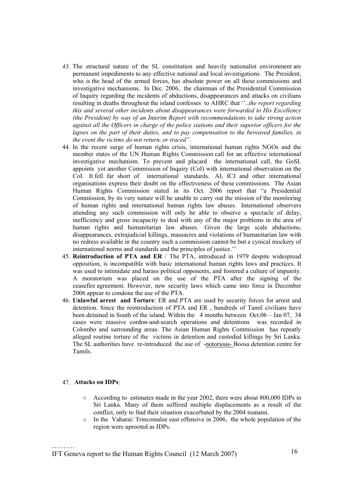- *43.* The structural nature of the SL constitution and heavily nationalist environment are permanent impediments to any effective national and local investigations. The President, who is the head of the armed forces, has absolute power on all these commissions and investigative mechanisms. In Dec. 2006, the chairman of the Presidential Commission of Inquiry regarding the incidents of abductions, disappearances and attacks on civilians resulting in deaths throughout the island confesses to AHRC that ''..*the report regarding this and several other incidents about disappearances were forwarded to His Excellency (the President) by way of an Interim Report with recommendations to take strong action against all the Officers in charge of the police stations and their superior officers for the lapses on the part of their duties, and to pay compensation to the bereaved families, in the event the victims do not return, or traced".*
- 44. In the recent surge of human rights crisis, international human rights NGOs and the member states of the UN Human Rights Commission call for an effective international investigative mechanism. To prevent and placard the international call, the GoSL appoints yet another Commission of Inquiry (CoI) with international observation on the CoI. It fell far short of international standards. AI, ICJ and other international organisations express their doubt on the effectiveness of these commissions. The Asian Human Rights Commission stated in its Oct. 2006 report that "a Presidential Commission, by its very nature will be unable to carry out the mission of the monitoring of human rights and international human rights law abuses. International observers attending any such commission will only be able to observe a spectacle of delay, inefficiency and gross incapacity to deal with any of the major problems in the area of human rights and humanitarian law abuses. Given the large scale abductions, disappearances, extrajudicial killings, massacres and violations of humanitarian law with no redress available in the country such a commission cannot be but a cynical mockery of international norms and standards and the principles of justice.''
- 45. **Reintroduction of PTA and ER** / The PTA, introduced in 1979 despite widespread opposition, is incompatible with basic international human rights laws and practices. It was used to intimidate and harass political opponents, and fostered a culture of impunity. A moratorium was placed on the use of the PTA after the signing of the ceasefire agreement. However, new security laws which came into force in December 2006 appear to condone the use of the PTA.
- 46. **Unlawful arrest and Torture**: ER and PTA are used by security forces for arrest and detention. Since the reintroduction of PTA and ER , hundreds of Tamil civilians have been detained in South of the island. Within the 4 months between Oct.06 – Jan 07, 34 cases were massive cordon-and-search operations and detentions was recorded in Colombo and surrounding areas. The Asian Human Rights Commission has repeatly alleged routine torture of the victims in detention and custodial killings by Sri Lanka. The SL authorities have re-introduced the use of -notorious- Boosa detention centre for Tamils.

#### 47. **Attacks on IDPs**:

- o According to estimates made in the year 2002, there were about 800,000 IDPs in Sri Lanka. Many of them suffered multiple displacements as a result of the conflict, only to find their situation exacerbated by the 2004 tsunami.
- o In the Vaharai/ Trincomalee east offensive in 2006, the whole population of the region were uprooted as IDPs.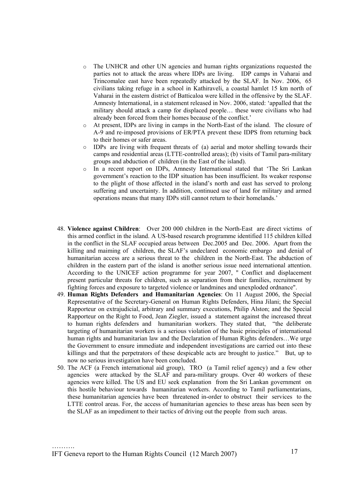- o The UNHCR and other UN agencies and human rights organizations requested the parties not to attack the areas where IDPs are living. IDP camps in Vaharai and Trincomalee east have been repeatedly attacked by the SLAF. In Nov. 2006, 65 civilians taking refuge in a school in Kathiraveli, a coastal hamlet 15 km north of Vaharai in the eastern district of Batticaloa were killed in the offensive by the SLAF. Amnesty International, in a statement released in Nov. 2006, stated: 'appalled that the military should attack a camp for displaced people… these were civilians who had already been forced from their homes because of the conflict.'
- o At present, IDPs are living in camps in the North-East of the island. The closure of A-9 and re-imposed provisions of ER/PTA prevent these IDPS from returning back to their homes or safer areas.
- o IDPs are living with frequent threats of (a) aerial and motor shelling towards their camps and residential areas (LTTE-controlled areas); (b) visits of Tamil para-military groups and abduction of children (in the East of the island).
- o In a recent report on IDPs, Amnesty International stated that 'The Sri Lankan government's reaction to the IDP situation has been insufficient. Its weaker response to the plight of those affected in the island's north and east has served to prolong suffering and uncertainty. In addition, continued use of land for military and armed operations means that many IDPs still cannot return to their homelands.'
- 48. **Violence against Children**: Over 200 000 children in the North-East are direct victims of this armed conflict in the island. A US-based research programme identified 115 children killed in the conflict in the SLAF occupied areas between Dec.2005 and Dec. 2006. Apart from the killing and maiming of children, the SLAF's undeclared economic embargo and denial of humanitarian access are a serious threat to the children in the North-East. The abduction of children in the eastern part of the island is another serious issue need international attention. According to the UNICEF action programme for year 2007, " Conflict and displacement present particular threats for children, such as separation from their families, recruitment by fighting forces and exposure to targeted violence or landmines and unexploded ordnance".
- 49. **Human Rights Defenders and Humanitarian Agencies**: On 11 August 2006, the Special Representative of the Secretary-General on Human Rights Defenders, Hina Jilani; the Special Rapporteur on extrajudicial, arbitrary and summary executions, Philip Alston; and the Special Rapporteur on the Right to Food, Jean Ziegler, issued a statement against the increased threat to human rights defenders and humanitarian workers. They stated that, "the deliberate targeting of humanitarian workers is a serious violation of the basic principles of international human rights and humanitarian law and the Declaration of Human Rights defenders…We urge the Government to ensure immediate and independent investigations are carried out into these killings and that the perpetrators of these despicable acts are brought to justice." But, up to now no serious investigation have been concluded.
- 50. The ACF (a French international aid group), TRO (a Tamil relief agency) and a few other agencies were attacked by the SLAF and para-military groups. Over 40 workers of these agencies were killed. The US and EU seek explanation from the Sri Lankan government on this hostile behaviour towards humanitarian workers. According to Tamil parliamentarians, these humanitarian agencies have been threatened in-order to obstruct their services to the LTTE control areas. For, the access of humanitarian agencies to these areas has been seen by the SLAF as an impediment to their tactics of driving out the people from such areas.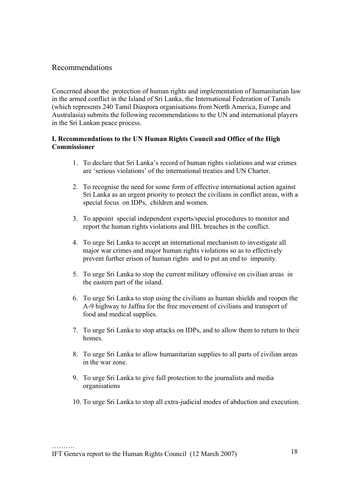# Recommendations

Concerned about the protection of human rights and implementation of humanitarian law in the armed conflict in the Island of Sri Lanka, the International Federation of Tamils (which represents 240 Tamil Diaspora organisations from North America, Europe and Australasia) submits the following recommendations to the UN and international players in the Sri Lankan peace process.

## **I. Recommendations to the UN Human Rights Council and Office of the High Commissioner**

- 1. To declare that Sri Lanka's record of human rights violations and war crimes are 'serious violations' of the international treaties and UN Charter.
- 2. To recognise the need for some form of effective international action against Sri Lanka as an urgent priority to protect the civilians in conflict areas, with a special focus on IDPs, children and women.
- 3. To appoint special independent experts/special procedures to monitor and report the human rights violations and IHL breaches in the conflict.
- 4. To urge Sri Lanka to accept an international mechanism to investigate all major war crimes and major human rights violations so as to effectively prevent further erison of human rights and to put an end to impunity.
- 5. To urge Sri Lanka to stop the current military offensive on civilian areas in the eastern part of the island.
- 6. To urge Sri Lanka to stop using the civilians as human shields and reopen the A-9 highway to Jaffna for the free movement of civilians and transport of food and medical supplies.
- 7. To urge Sri Lanka to stop attacks on IDPs, and to allow them to return to their homes.
- 8. To urge Sri Lanka to allow humanitarian supplies to all parts of civilian areas in the war zone.
- 9. To urge Sri Lanka to give full protection to the journalists and media organisations
- 10. To urge Sri Lanka to stop all extra-judicial modes of abduction and execution.